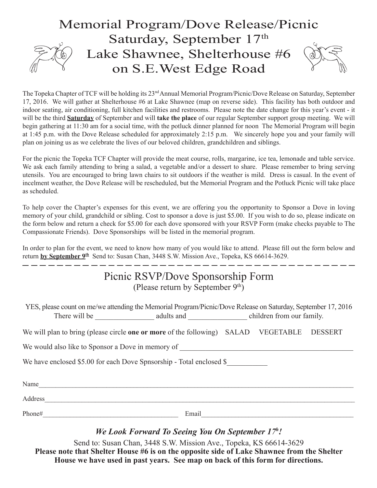## Memorial Program/Dove Release/Picnic Saturday, September 17th Lake Shawnee, Shelterhouse #6 on S.E.West Edge Road

The Topeka Chapter of TCF will be holding its  $23<sup>nd</sup>$  Annual Memorial Program/Picnic/Dove Release on Saturday, September 17, 2016. We will gather at Shelterhouse #6 at Lake Shawnee (map on reverse side). This facility has both outdoor and indoor seating, air conditioning, full kitchen facilities and restrooms. Please note the date change for this year's event - it will be the third **Saturday** of September and will **take the place** of our regular September support group meeting. We will begin gathering at 11:30 am for a social time, with the potluck dinner planned for noon The Memorial Program will begin at 1:45 p.m. with the Dove Release scheduled for approximately 2:15 p.m. We sincerely hope you and your family will plan on joining us as we celebrate the lives of our beloved children, grandchildren and siblings.

For the picnic the Topeka TCF Chapter will provide the meat course, rolls, margarine, ice tea, lemonade and table service. We ask each family attending to bring a salad, a vegetable and/or a dessert to share. Please remember to bring serving utensils. You are encouraged to bring lawn chairs to sit outdoors if the weather is mild. Dress is casual. In the event of incelment weather, the Dove Release will be rescheduled, but the Memorial Program and the Potluck Picnic will take place as scheduled.

To help cover the Chapter's expenses for this event, we are offering you the opportunity to Sponsor a Dove in loving memory of your child, grandchild or sibling. Cost to sponsor a dove is just \$5.00. If you wish to do so, please indicate on the form below and return a check for \$5.00 for each dove sponsored with your RSVP Form (make checks payable to The Compassionate Friends). Dove Sponsorships will be listed in the memorial program.

In order to plan for the event, we need to know how many of you would like to attend. Please fill out the form below and return **by September 9th** Send to: Susan Chan, 3448 S.W. Mission Ave., Topeka, KS 66614-3629.

- -- -- -- -- -- --

## Picnic RSVP/Dove Sponsorship Form (Please return by September  $9<sup>th</sup>$ )

YES, please count on me/we attending the Memorial Program/Picnic/Dove Release on Saturday, September 17, 2016 There will be  $\qquad \qquad \text{ adults and} \qquad \qquad \text{children from our family.}$ 

We will plan to bring (please circle **one or more** of the following) SALAD VEGETABLE DESSERT

We would also like to Sponsor a Dove in memory of

We have enclosed \$5.00 for each Dove Spnsorship - Total enclosed \$

| Name    |       |
|---------|-------|
| Address |       |
| Phone#  | Email |

*We Look Forward To Seeing You On September 17h !*

Send to: Susan Chan, 3448 S.W. Mission Ave., Topeka, KS 66614-3629 **Please note that Shelter House #6 is on the opposite side of Lake Shawnee from the Shelter House we have used in past years. See map on back of this form for directions.**